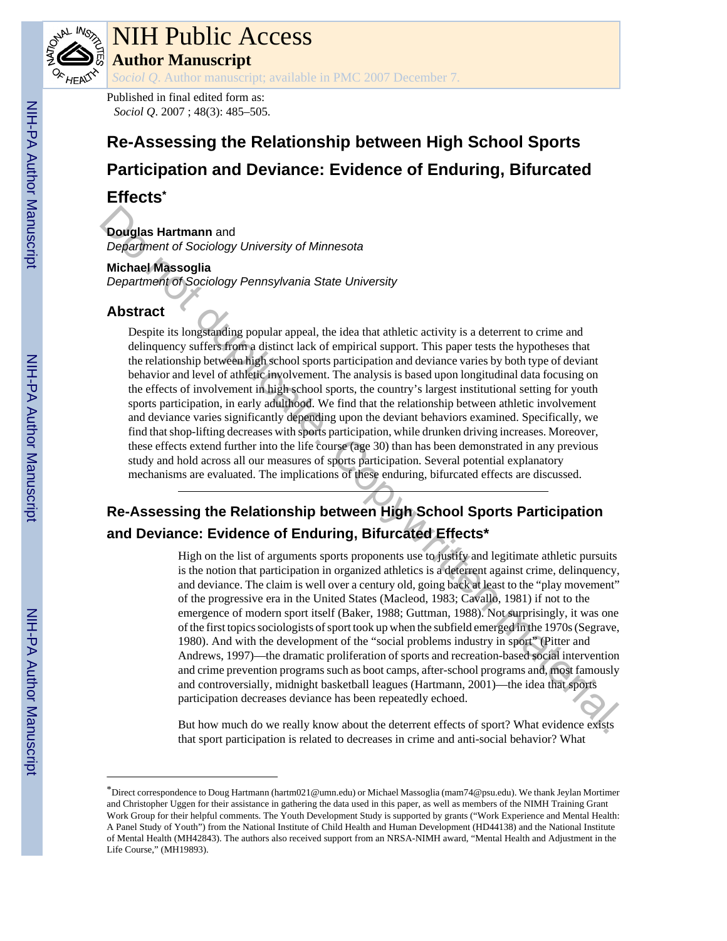

# NIH Public Access

**Author Manuscript**

*Sociol Q*. Author manuscript; available in PMC 2007 December 7.

Published in final edited form as: *Sociol Q*. 2007 ; 48(3): 485–505.

# **Re-Assessing the Relationship between High School Sports Participation and Deviance: Evidence of Enduring, Bifurcated**

## **Effects\***

**Douglas Hartmann** and

*Department of Sociology University of Minnesota*

#### **Michael Massoglia**

*Department of Sociology Pennsylvania State University*

## **Abstract**

Despite its longstanding popular appeal, the idea that athletic activity is a deterrent to crime and delinquency suffers from a distinct lack of empirical support. This paper tests the hypotheses that the relationship between high school sports participation and deviance varies by both type of deviant behavior and level of athletic involvement. The analysis is based upon longitudinal data focusing on the effects of involvement in high school sports, the country's largest institutional setting for youth sports participation, in early adulthood. We find that the relationship between athletic involvement and deviance varies significantly depending upon the deviant behaviors examined. Specifically, we find that shop-lifting decreases with sports participation, while drunken driving increases. Moreover, these effects extend further into the life course (age 30) than has been demonstrated in any previous study and hold across all our measures of sports participation. Several potential explanatory mechanisms are evaluated. The implications of these enduring, bifurcated effects are discussed. **Dougles Hartmann** and<br>
Dependiment of Sociology University of Minnesotia<br>
Minnesotia<br>
Dependiment of Sociology Pennsylvania State University<br>
Dependiment of Sociology Pennsylvania State University<br>
Dependiment of Compile

# **Re-Assessing the Relationship between High School Sports Participation and Deviance: Evidence of Enduring, Bifurcated Effects\***

High on the list of arguments sports proponents use to justify and legitimate athletic pursuits is the notion that participation in organized athletics is a deterrent against crime, delinquency, and deviance. The claim is well over a century old, going back at least to the "play movement" of the progressive era in the United States (Macleod, 1983; Cavallo, 1981) if not to the emergence of modern sport itself (Baker, 1988; Guttman, 1988). Not surprisingly, it was one of the first topics sociologists of sport took up when the subfield emerged in the 1970s (Segrave, 1980). And with the development of the "social problems industry in sport" (Pitter and Andrews, 1997)—the dramatic proliferation of sports and recreation-based social intervention and crime prevention programs such as boot camps, after-school programs and, most famously and controversially, midnight basketball leagues (Hartmann, 2001)—the idea that sports participation decreases deviance has been repeatedly echoed.

But how much do we really know about the deterrent effects of sport? What evidence exists that sport participation is related to decreases in crime and anti-social behavior? What

<sup>\*</sup>Direct correspondence to Doug Hartmann (hartm021@umn.edu) or Michael Massoglia (mam74@psu.edu). We thank Jeylan Mortimer and Christopher Uggen for their assistance in gathering the data used in this paper, as well as members of the NIMH Training Grant Work Group for their helpful comments. The Youth Development Study is supported by grants ("Work Experience and Mental Health: A Panel Study of Youth") from the National Institute of Child Health and Human Development (HD44138) and the National Institute of Mental Health (MH42843). The authors also received support from an NRSA-NIMH award, "Mental Health and Adjustment in the Life Course," (MH19893).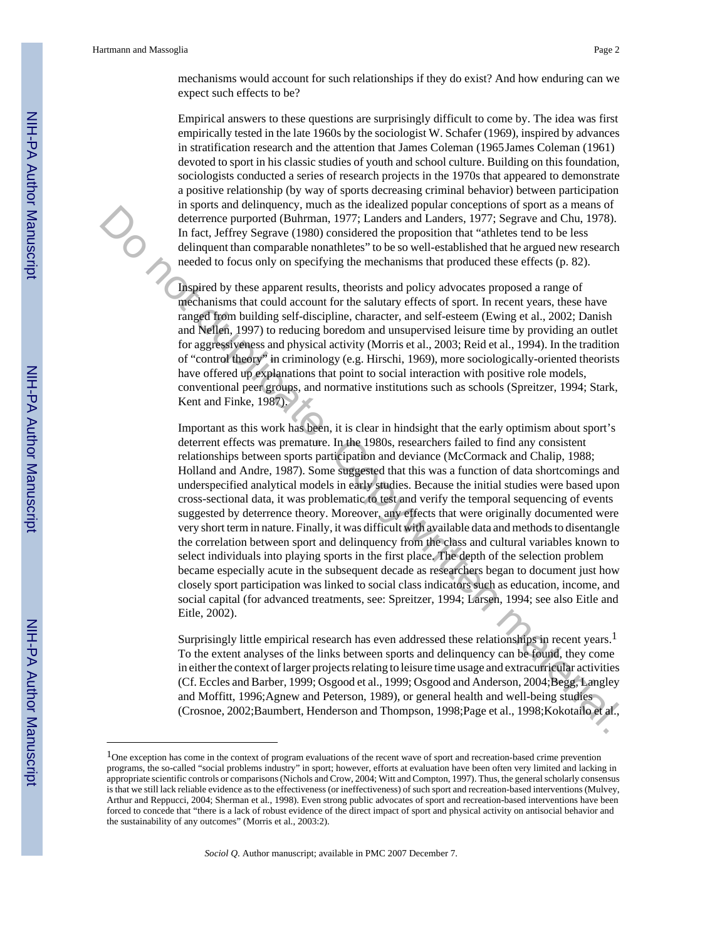mechanisms would account for such relationships if they do exist? And how enduring can we expect such effects to be?

Empirical answers to these questions are surprisingly difficult to come by. The idea was first empirically tested in the late 1960s by the sociologist W. Schafer (1969), inspired by advances in stratification research and the attention that James Coleman (1965James Coleman (1961) devoted to sport in his classic studies of youth and school culture. Building on this foundation, sociologists conducted a series of research projects in the 1970s that appeared to demonstrate a positive relationship (by way of sports decreasing criminal behavior) between participation in sports and delinquency, much as the idealized popular conceptions of sport as a means of deterrence purported (Buhrman, 1977; Landers and Landers, 1977; Segrave and Chu, 1978). In fact, Jeffrey Segrave (1980) considered the proposition that "athletes tend to be less delinquent than comparable nonathletes" to be so well-established that he argued new research needed to focus only on specifying the mechanisms that produced these effects (p. 82).

Inspired by these apparent results, theorists and policy advocates proposed a range of mechanisms that could account for the salutary effects of sport. In recent years, these have ranged from building self-discipline, character, and self-esteem (Ewing et al., 2002; Danish and Nellen, 1997) to reducing boredom and unsupervised leisure time by providing an outlet for aggressiveness and physical activity (Morris et al., 2003; Reid et al., 1994). In the tradition of "control theory" in criminology (e.g. Hirschi, 1969), more sociologically-oriented theorists have offered up explanations that point to social interaction with positive role models, conventional peer groups, and normative institutions such as schools (Spreitzer, 1994; Stark, Kent and Finke, 1987).

Important as this work has been, it is clear in hindsight that the early optimism about sport's deterrent effects was premature. In the 1980s, researchers failed to find any consistent relationships between sports participation and deviance (McCormack and Chalip, 1988; Holland and Andre, 1987). Some suggested that this was a function of data shortcomings and underspecified analytical models in early studies. Because the initial studies were based upon cross-sectional data, it was problematic to test and verify the temporal sequencing of events suggested by deterrence theory. Moreover, any effects that were originally documented were very short term in nature. Finally, it was difficult with available data and methods to disentangle the correlation between sport and delinquency from the class and cultural variables known to select individuals into playing sports in the first place. The depth of the selection problem became especially acute in the subsequent decade as researchers began to document just how closely sport participation was linked to social class indicators such as education, income, and social capital (for advanced treatments, see: Spreitzer, 1994; Larsen, 1994; see also Eitle and Eitle, 2002). The fact determined to the base of the state of power and one state of the means of the first, SPT and the means of the means of the first of the first of the means of the means of the means of the means of the means of th

Surprisingly little empirical research has even addressed these relationships in recent years.<sup>1</sup> To the extent analyses of the links between sports and delinquency can be found, they come in either the context of larger projects relating to leisure time usage and extracurricular activities (Cf. Eccles and Barber, 1999; Osgood et al., 1999; Osgood and Anderson, 2004;Begg, Langley and Moffitt, 1996;Agnew and Peterson, 1989), or general health and well-being studies (Crosnoe, 2002;Baumbert, Henderson and Thompson, 1998;Page et al., 1998;Kokotailo et al.,

<sup>1</sup>One exception has come in the context of program evaluations of the recent wave of sport and recreation-based crime prevention programs, the so-called "social problems industry" in sport; however, efforts at evaluation have been often very limited and lacking in appropriate scientific controls or comparisons (Nichols and Crow, 2004; Witt and Compton, 1997). Thus, the general scholarly consensus is that we still lack reliable evidence as to the effectiveness (or ineffectiveness) of such sport and recreation-based interventions (Mulvey, Arthur and Reppucci, 2004; Sherman et al., 1998). Even strong public advocates of sport and recreation-based interventions have been forced to concede that "there is a lack of robust evidence of the direct impact of sport and physical activity on antisocial behavior and the sustainability of any outcomes" (Morris et al., 2003:2).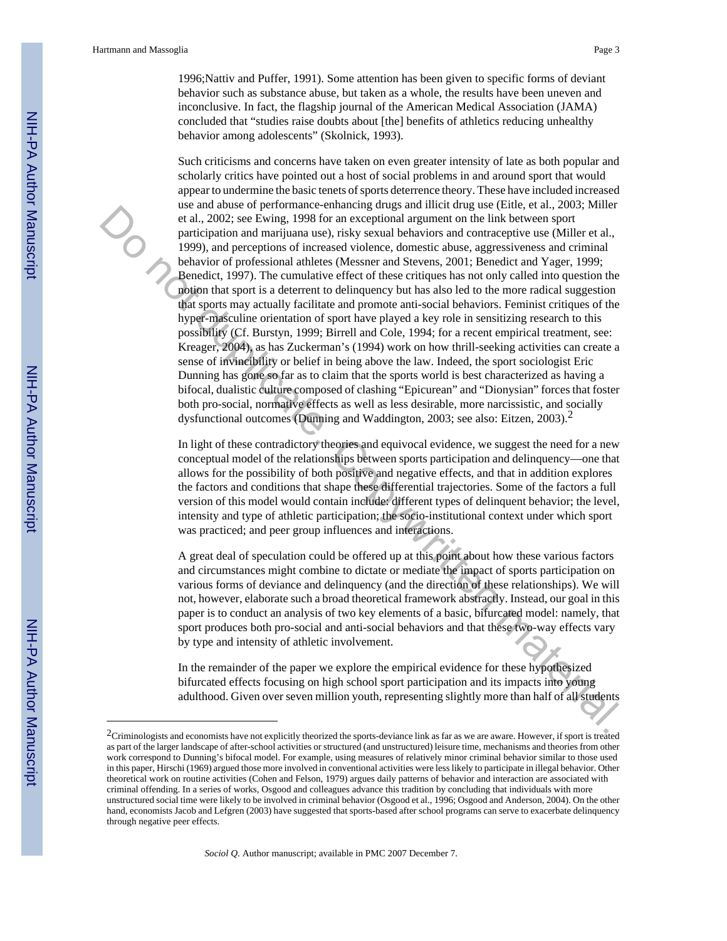1996;Nattiv and Puffer, 1991). Some attention has been given to specific forms of deviant behavior such as substance abuse, but taken as a whole, the results have been uneven and inconclusive. In fact, the flagship journal of the American Medical Association (JAMA) concluded that "studies raise doubts about [the] benefits of athletics reducing unhealthy behavior among adolescents" (Skolnick, 1993).

Such criticisms and concerns have taken on even greater intensity of late as both popular and scholarly critics have pointed out a host of social problems in and around sport that would appear to undermine the basic tenets of sports deterrence theory. These have included increased use and abuse of performance-enhancing drugs and illicit drug use (Eitle, et al., 2003; Miller et al., 2002; see Ewing, 1998 for an exceptional argument on the link between sport participation and marijuana use), risky sexual behaviors and contraceptive use (Miller et al., 1999), and perceptions of increased violence, domestic abuse, aggressiveness and criminal behavior of professional athletes (Messner and Stevens, 2001; Benedict and Yager, 1999; Benedict, 1997). The cumulative effect of these critiques has not only called into question the notion that sport is a deterrent to delinquency but has also led to the more radical suggestion that sports may actually facilitate and promote anti-social behaviors. Feminist critiques of the hyper-masculine orientation of sport have played a key role in sensitizing research to this possibility (Cf. Burstyn, 1999; Birrell and Cole, 1994; for a recent empirical treatment, see: Kreager, 2004), as has Zuckerman's (1994) work on how thrill-seeking activities can create a sense of invincibility or belief in being above the law. Indeed, the sport sociologist Eric Dunning has gone so far as to claim that the sports world is best characterized as having a bifocal, dualistic culture composed of clashing "Epicurean" and "Dionysian" forces that foster both pro-social, normative effects as well as less desirable, more narcissistic, and socially dysfunctional outcomes (Dunning and Waddington, 2003; see also: Eitzen, 2003).2 os ani above on personuance-sunable and matter and the include to choose the sector and the properties of the paper the paper and the properties of the paper and the properties of the sector and the properties of the secto

In light of these contradictory theories and equivocal evidence, we suggest the need for a new conceptual model of the relationships between sports participation and delinquency—one that allows for the possibility of both positive and negative effects, and that in addition explores the factors and conditions that shape these differential trajectories. Some of the factors a full version of this model would contain include: different types of delinquent behavior; the level, intensity and type of athletic participation; the socio-institutional context under which sport was practiced; and peer group influences and interactions.

A great deal of speculation could be offered up at this point about how these various factors and circumstances might combine to dictate or mediate the impact of sports participation on various forms of deviance and delinquency (and the direction of these relationships). We will not, however, elaborate such a broad theoretical framework abstractly. Instead, our goal in this paper is to conduct an analysis of two key elements of a basic, bifurcated model: namely, that sport produces both pro-social and anti-social behaviors and that these two-way effects vary by type and intensity of athletic involvement.

In the remainder of the paper we explore the empirical evidence for these hypothesized bifurcated effects focusing on high school sport participation and its impacts into young adulthood. Given over seven million youth, representing slightly more than half of all students

<sup>2</sup>Criminologists and economists have not explicitly theorized the sports-deviance link as far as we are aware. However, if sport is treated as part of the larger landscape of after-school activities or structured (and unstructured) leisure time, mechanisms and theories from other work correspond to Dunning's bifocal model. For example, using measures of relatively minor criminal behavior similar to those used in this paper, Hirschi (1969) argued those more involved in conventional activities were less likely to participate in illegal behavior. Other theoretical work on routine activities (Cohen and Felson, 1979) argues daily patterns of behavior and interaction are associated with criminal offending. In a series of works, Osgood and colleagues advance this tradition by concluding that individuals with more unstructured social time were likely to be involved in criminal behavior (Osgood et al., 1996; Osgood and Anderson, 2004). On the other hand, economists Jacob and Lefgren (2003) have suggested that sports-based after school programs can serve to exacerbate delinquency through negative peer effects.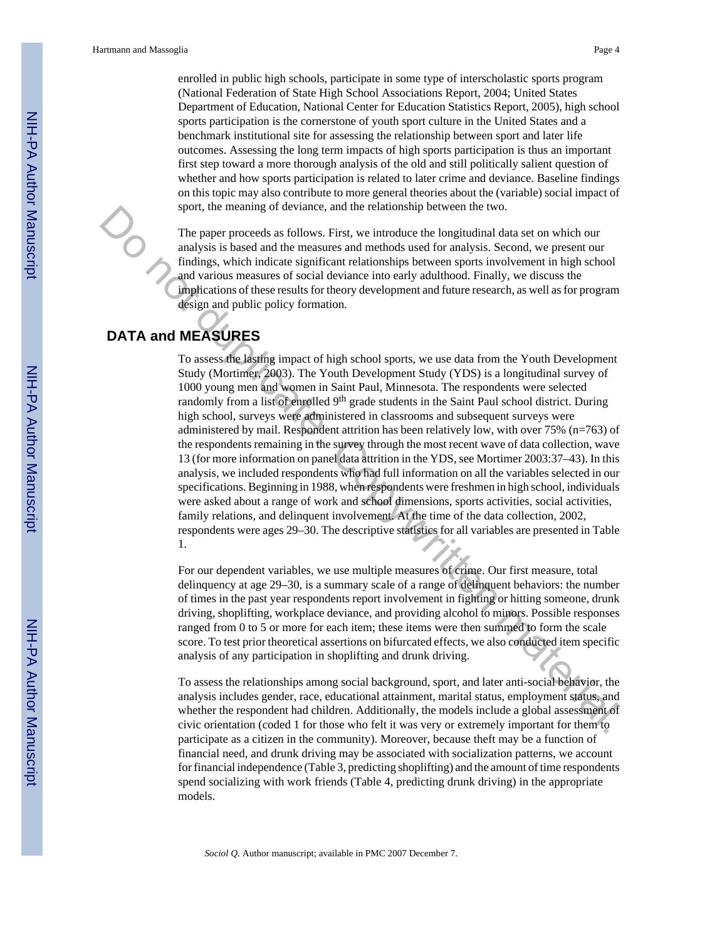enrolled in public high schools, participate in some type of interscholastic sports program (National Federation of State High School Associations Report, 2004; United States Department of Education, National Center for Education Statistics Report, 2005), high school sports participation is the cornerstone of youth sport culture in the United States and a benchmark institutional site for assessing the relationship between sport and later life outcomes. Assessing the long term impacts of high sports participation is thus an important first step toward a more thorough analysis of the old and still politically salient question of whether and how sports participation is related to later crime and deviance. Baseline findings on this topic may also contribute to more general theories about the (variable) social impact of sport, the meaning of deviance, and the relationship between the two.

The paper proceeds as follows. First, we introduce the longitudinal data set on which our analysis is based and the measures and methods used for analysis. Second, we present our findings, which indicate significant relationships between sports involvement in high school and various measures of social deviance into early adulthood. Finally, we discuss the implications of these results for theory development and future research, as well as for program design and public policy formation.

### **DATA and MEASURES**

To assess the lasting impact of high school sports, we use data from the Youth Development Study (Mortimer, 2003). The Youth Development Study (YDS) is a longitudinal survey of 1000 young men and women in Saint Paul, Minnesota. The respondents were selected randomly from a list of enrolled 9<sup>th</sup> grade students in the Saint Paul school district. During high school, surveys were administered in classrooms and subsequent surveys were administered by mail. Respondent attrition has been relatively low, with over 75% (n=763) of the respondents remaining in the survey through the most recent wave of data collection, wave 13 (for more information on panel data attrition in the YDS, see Mortimer 2003:37–43). In this analysis, we included respondents who had full information on all the variables selected in our specifications. Beginning in 1988, when respondents were freshmen in high school, individuals were asked about a range of work and school dimensions, sports activities, social activities, family relations, and delinquent involvement. At the time of the data collection, 2002, respondents were ages 29–30. The descriptive statistics for all variables are presented in Table 1. sport, the meaning of deviatine, and the relationship between the two.<br>The pape proceeds as follows. First, we introduce the longitudinal data set on which our<br>matysis is hased and the measures and methods used for analysi

For our dependent variables, we use multiple measures of crime. Our first measure, total delinquency at age 29–30, is a summary scale of a range of delinquent behaviors: the number of times in the past year respondents report involvement in fighting or hitting someone, drunk driving, shoplifting, workplace deviance, and providing alcohol to minors. Possible responses ranged from 0 to 5 or more for each item; these items were then summed to form the scale score. To test prior theoretical assertions on bifurcated effects, we also conducted item specific analysis of any participation in shoplifting and drunk driving.

To assess the relationships among social background, sport, and later anti-social behavior, the analysis includes gender, race, educational attainment, marital status, employment status, and whether the respondent had children. Additionally, the models include a global assessment of civic orientation (coded 1 for those who felt it was very or extremely important for them to participate as a citizen in the community). Moreover, because theft may be a function of financial need, and drunk driving may be associated with socialization patterns, we account for financial independence (Table 3, predicting shoplifting) and the amount of time respondents spend socializing with work friends (Table 4, predicting drunk driving) in the appropriate models.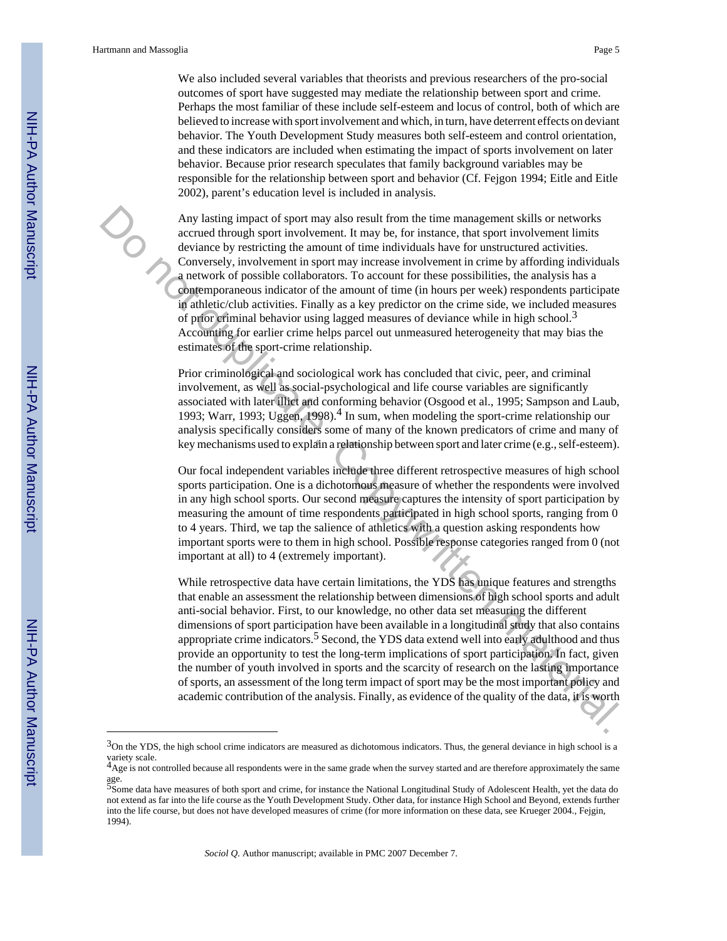We also included several variables that theorists and previous researchers of the pro-social outcomes of sport have suggested may mediate the relationship between sport and crime. Perhaps the most familiar of these include self-esteem and locus of control, both of which are believed to increase with sport involvement and which, in turn, have deterrent effects on deviant behavior. The Youth Development Study measures both self-esteem and control orientation, and these indicators are included when estimating the impact of sports involvement on later behavior. Because prior research speculates that family background variables may be responsible for the relationship between sport and behavior (Cf. Fejgon 1994; Eitle and Eitle 2002), parent's education level is included in analysis.

Any lasting impact of sport may also result from the time management skills or networks accrued through sport involvement. It may be, for instance, that sport involvement limits deviance by restricting the amount of time individuals have for unstructured activities. Conversely, involvement in sport may increase involvement in crime by affording individuals a network of possible collaborators. To account for these possibilities, the analysis has a contemporaneous indicator of the amount of time (in hours per week) respondents participate in athletic/club activities. Finally as a key predictor on the crime side, we included measures of prior criminal behavior using lagged measures of deviance while in high school.3 Accounting for earlier crime helps parcel out unmeasured heterogeneity that may bias the estimates of the sport-crime relationship. Any lasting impact of sport may also result from the time management skills or networks<br>account through partit mode bond man, in may be, for image that sport involvement limits<br>convenely, involvement in sport material. Th

Prior criminological and sociological work has concluded that civic, peer, and criminal involvement, as well as social-psychological and life course variables are significantly associated with later illict and conforming behavior (Osgood et al., 1995; Sampson and Laub, 1993; Warr, 1993; Uggen, 1998).<sup>4</sup> In sum, when modeling the sport-crime relationship our analysis specifically considers some of many of the known predicators of crime and many of key mechanisms used to explain a relationship between sport and later crime (e.g., self-esteem).

Our focal independent variables include three different retrospective measures of high school sports participation. One is a dichotomous measure of whether the respondents were involved in any high school sports. Our second measure captures the intensity of sport participation by measuring the amount of time respondents participated in high school sports, ranging from 0 to 4 years. Third, we tap the salience of athletics with a question asking respondents how important sports were to them in high school. Possible response categories ranged from 0 (not important at all) to 4 (extremely important).

While retrospective data have certain limitations, the YDS has unique features and strengths that enable an assessment the relationship between dimensions of high school sports and adult anti-social behavior. First, to our knowledge, no other data set measuring the different dimensions of sport participation have been available in a longitudinal study that also contains appropriate crime indicators.<sup>5</sup> Second, the YDS data extend well into early adulthood and thus provide an opportunity to test the long-term implications of sport participation. In fact, given the number of youth involved in sports and the scarcity of research on the lasting importance of sports, an assessment of the long term impact of sport may be the most important policy and academic contribution of the analysis. Finally, as evidence of the quality of the data, it is worth

 $3$ On the YDS, the high school crime indicators are measured as dichotomous indicators. Thus, the general deviance in high school is a variety scale.<br><sup>4</sup>Age is not controlled because all respondents were in the same grade when the survey started and are therefore approximately the same

age.<br><sup>5</sup>Some data have measures of both sport and crime, for instance the National Longitudinal Study of Adolescent Health, yet the data do

not extend as far into the life course as the Youth Development Study. Other data, for instance High School and Beyond, extends further into the life course, but does not have developed measures of crime (for more information on these data, see Krueger 2004., Fejgin, 1994).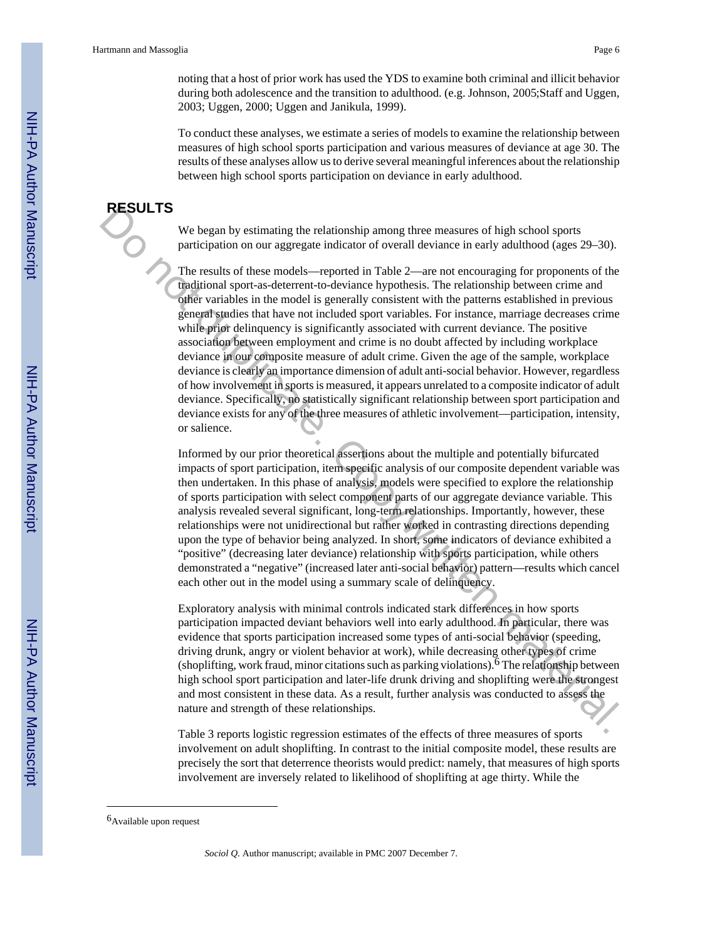noting that a host of prior work has used the YDS to examine both criminal and illicit behavior during both adolescence and the transition to adulthood. (e.g. Johnson, 2005;Staff and Uggen, 2003; Uggen, 2000; Uggen and Janikula, 1999).

To conduct these analyses, we estimate a series of models to examine the relationship between measures of high school sports participation and various measures of deviance at age 30. The results of these analyses allow us to derive several meaningful inferences about the relationship between high school sports participation on deviance in early adulthood.

#### **RESULTS**

We began by estimating the relationship among three measures of high school sports participation on our aggregate indicator of overall deviance in early adulthood (ages 29–30).

The results of these models—reported in Table 2—are not encouraging for proponents of the traditional sport-as-deterrent-to-deviance hypothesis. The relationship between crime and other variables in the model is generally consistent with the patterns established in previous general studies that have not included sport variables. For instance, marriage decreases crime while prior delinquency is significantly associated with current deviance. The positive association between employment and crime is no doubt affected by including workplace deviance in our composite measure of adult crime. Given the age of the sample, workplace deviance is clearly an importance dimension of adult anti-social behavior. However, regardless of how involvement in sports is measured, it appears unrelated to a composite indicator of adult deviance. Specifically, no statistically significant relationship between sport participation and deviance exists for any of the three measures of athletic involvement—participation, intensity, or salience. **NESOLE IS**<br>We began by estimating the relationship among three measures of high school sports<br>participation on our aggregate indicator of overall deviates in early adulthood (ages 29–30).<br>The neutro of these mudels —repo

Informed by our prior theoretical assertions about the multiple and potentially bifurcated impacts of sport participation, item specific analysis of our composite dependent variable was then undertaken. In this phase of analysis, models were specified to explore the relationship of sports participation with select component parts of our aggregate deviance variable. This analysis revealed several significant, long-term relationships. Importantly, however, these relationships were not unidirectional but rather worked in contrasting directions depending upon the type of behavior being analyzed. In short, some indicators of deviance exhibited a "positive" (decreasing later deviance) relationship with sports participation, while others demonstrated a "negative" (increased later anti-social behavior) pattern—results which cancel each other out in the model using a summary scale of delinquency.

Exploratory analysis with minimal controls indicated stark differences in how sports participation impacted deviant behaviors well into early adulthood. In particular, there was evidence that sports participation increased some types of anti-social behavior (speeding, driving drunk, angry or violent behavior at work), while decreasing other types of crime (shoplifting, work fraud, minor citations such as parking violations).6 The relationship between high school sport participation and later-life drunk driving and shoplifting were the strongest and most consistent in these data. As a result, further analysis was conducted to assess the nature and strength of these relationships.

Table 3 reports logistic regression estimates of the effects of three measures of sports involvement on adult shoplifting. In contrast to the initial composite model, these results are precisely the sort that deterrence theorists would predict: namely, that measures of high sports involvement are inversely related to likelihood of shoplifting at age thirty. While the

<sup>6</sup>Available upon request

*Sociol Q*. Author manuscript; available in PMC 2007 December 7.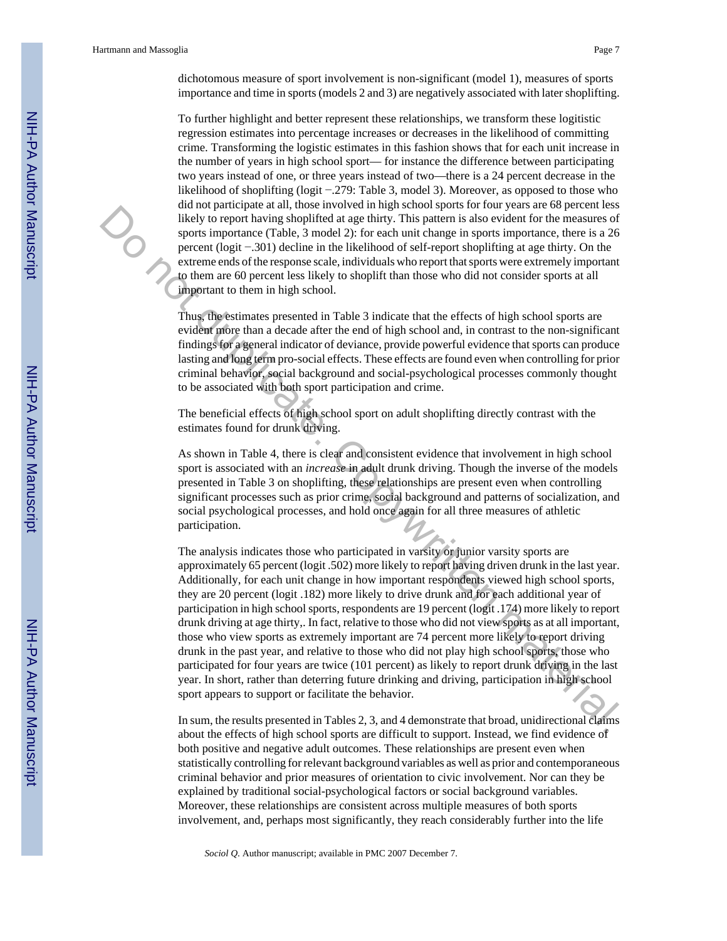To further highlight and better represent these relationships, we transform these logitistic regression estimates into percentage increases or decreases in the likelihood of committing crime. Transforming the logistic estimates in this fashion shows that for each unit increase in the number of years in high school sport— for instance the difference between participating two years instead of one, or three years instead of two—there is a 24 percent decrease in the likelihood of shoplifting (logit −.279: Table 3, model 3). Moreover, as opposed to those who did not participate at all, those involved in high school sports for four years are 68 percent less likely to report having shoplifted at age thirty. This pattern is also evident for the measures of sports importance (Table, 3 model 2): for each unit change in sports importance, there is a 26 percent (logit −.301) decline in the likelihood of self-report shoplifting at age thirty. On the extreme ends of the response scale, individuals who report that sports were extremely important to them are 60 percent less likely to shoplift than those who did not consider sports at all important to them in high school.

Thus, the estimates presented in Table 3 indicate that the effects of high school sports are evident more than a decade after the end of high school and, in contrast to the non-significant findings for a general indicator of deviance, provide powerful evidence that sports can produce lasting and long term pro-social effects. These effects are found even when controlling for prior criminal behavior, social background and social-psychological processes commonly thought to be associated with both sport participation and crime.

The beneficial effects of high school sport on adult shoplifting directly contrast with the estimates found for drunk driving.

As shown in Table 4, there is clear and consistent evidence that involvement in high school sport is associated with an *increase* in adult drunk driving. Though the inverse of the models presented in Table 3 on shoplifting, these relationships are present even when controlling significant processes such as prior crime, social background and patterns of socialization, and social psychological processes, and hold once again for all three measures of athletic participation.

The analysis indicates those who participated in varsity or junior varsity sports are approximately 65 percent (logit .502) more likely to report having driven drunk in the last year. Additionally, for each unit change in how important respondents viewed high school sports, they are 20 percent (logit .182) more likely to drive drunk and for each additional year of participation in high school sports, respondents are 19 percent (logit .174) more likely to report drunk driving at age thirty,. In fact, relative to those who did not view sports as at all important, those who view sports as extremely important are 74 percent more likely to report driving drunk in the past year, and relative to those who did not play high school sports, those who participated for four years are twice (101 percent) as likely to report drunk driving in the last year. In short, rather than deterring future drinking and driving, participation in high school sport appears to support or facilitate the behavior. Solven the method and the state in the state in the best in the best in the best in the state of the method of the method of self-report shopping in the method of process report in the method of process reaches that we are

In sum, the results presented in Tables 2, 3, and 4 demonstrate that broad, unidirectional claims about the effects of high school sports are difficult to support. Instead, we find evidence of both positive and negative adult outcomes. These relationships are present even when statistically controlling for relevant background variables as well as prior and contemporaneous criminal behavior and prior measures of orientation to civic involvement. Nor can they be explained by traditional social-psychological factors or social background variables. Moreover, these relationships are consistent across multiple measures of both sports involvement, and, perhaps most significantly, they reach considerably further into the life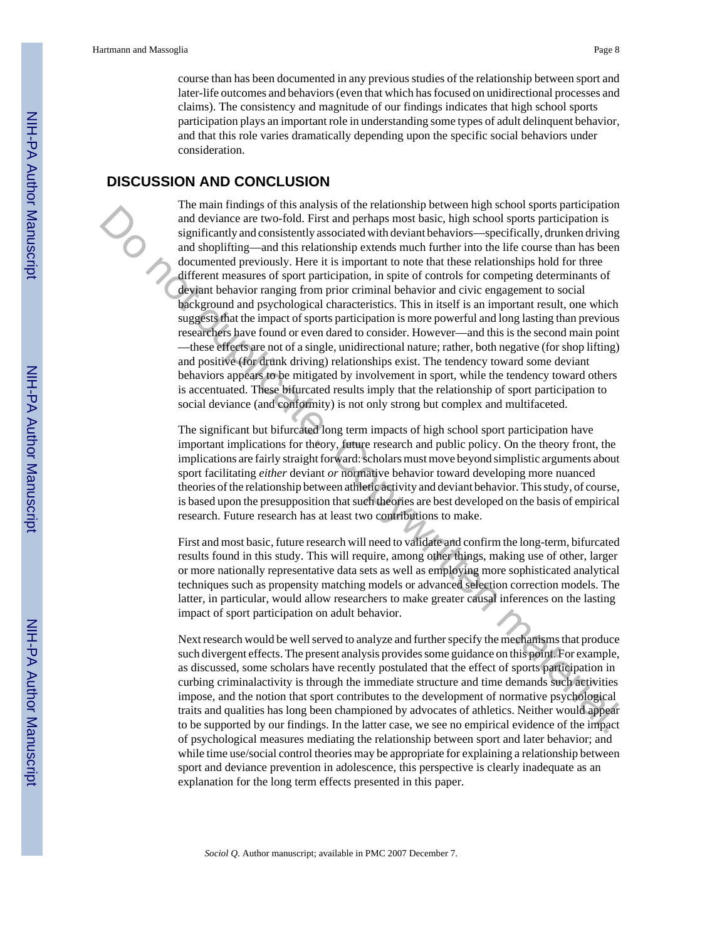course than has been documented in any previous studies of the relationship between sport and later-life outcomes and behaviors (even that which has focused on unidirectional processes and claims). The consistency and magnitude of our findings indicates that high school sports participation plays an important role in understanding some types of adult delinquent behavior, and that this role varies dramatically depending upon the specific social behaviors under consideration.

#### **DISCUSSION AND CONCLUSION**

The main findings of this analysis of the relationship between high school sports participation and deviance are two-fold. First and perhaps most basic, high school sports participation is significantly and consistently associated with deviant behaviors—specifically, drunken driving and shoplifting—and this relationship extends much further into the life course than has been documented previously. Here it is important to note that these relationships hold for three different measures of sport participation, in spite of controls for competing determinants of deviant behavior ranging from prior criminal behavior and civic engagement to social background and psychological characteristics. This in itself is an important result, one which suggests that the impact of sports participation is more powerful and long lasting than previous researchers have found or even dared to consider. However—and this is the second main point —these effects are not of a single, unidirectional nature; rather, both negative (for shop lifting) and positive (for drunk driving) relationships exist. The tendency toward some deviant behaviors appears to be mitigated by involvement in sport, while the tendency toward others is accentuated. These bifurcated results imply that the relationship of sport participation to social deviance (and conformity) is not only strong but complex and multifaceted. The main throughout that the treatmons of the treatmons of the treatmons of the significant properties and a stylene and the significant with deviating the material of the significant with the significant with the signific

The significant but bifurcated long term impacts of high school sport participation have important implications for theory, future research and public policy. On the theory front, the implications are fairly straight forward: scholars must move beyond simplistic arguments about sport facilitating *either* deviant *or* normative behavior toward developing more nuanced theories of the relationship between athletic activity and deviant behavior. This study, of course, is based upon the presupposition that such theories are best developed on the basis of empirical research. Future research has at least two contributions to make.

First and most basic, future research will need to validate and confirm the long-term, bifurcated results found in this study. This will require, among other things, making use of other, larger or more nationally representative data sets as well as employing more sophisticated analytical techniques such as propensity matching models or advanced selection correction models. The latter, in particular, would allow researchers to make greater causal inferences on the lasting impact of sport participation on adult behavior.

Next research would be well served to analyze and further specify the mechanisms that produce such divergent effects. The present analysis provides some guidance on this point. For example, as discussed, some scholars have recently postulated that the effect of sports participation in curbing criminalactivity is through the immediate structure and time demands such activities impose, and the notion that sport contributes to the development of normative psychological traits and qualities has long been championed by advocates of athletics. Neither would appear to be supported by our findings. In the latter case, we see no empirical evidence of the impact of psychological measures mediating the relationship between sport and later behavior; and while time use/social control theories may be appropriate for explaining a relationship between sport and deviance prevention in adolescence, this perspective is clearly inadequate as an explanation for the long term effects presented in this paper.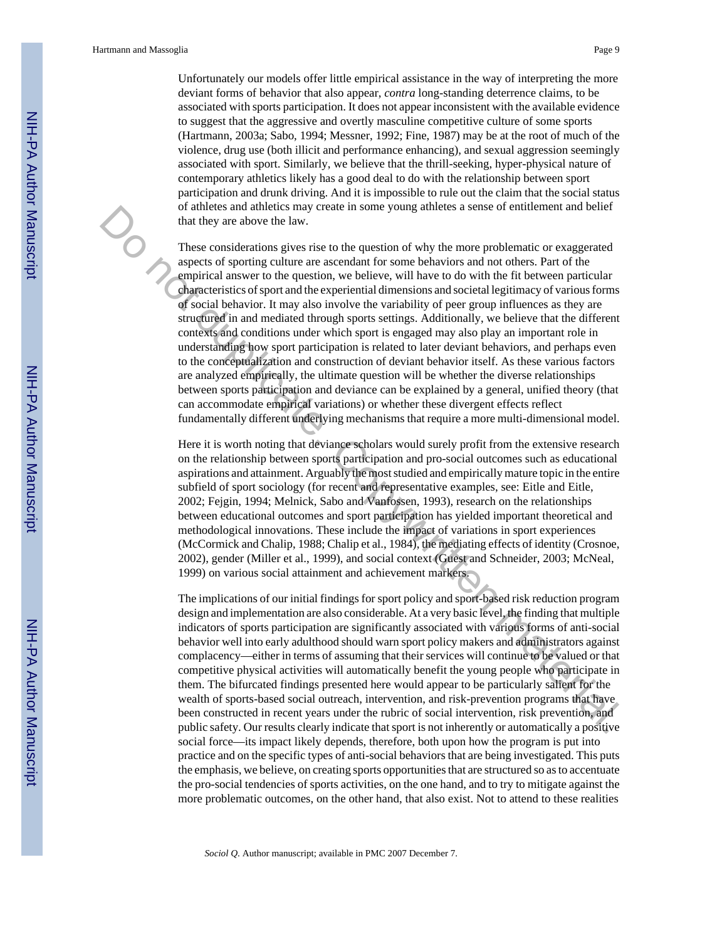Unfortunately our models offer little empirical assistance in the way of interpreting the more deviant forms of behavior that also appear, *contra* long-standing deterrence claims, to be associated with sports participation. It does not appear inconsistent with the available evidence to suggest that the aggressive and overtly masculine competitive culture of some sports (Hartmann, 2003a; Sabo, 1994; Messner, 1992; Fine, 1987) may be at the root of much of the violence, drug use (both illicit and performance enhancing), and sexual aggression seemingly associated with sport. Similarly, we believe that the thrill-seeking, hyper-physical nature of contemporary athletics likely has a good deal to do with the relationship between sport participation and drunk driving. And it is impossible to rule out the claim that the social status of athletes and athletics may create in some young athletes a sense of entitlement and belief that they are above the law.

These considerations gives rise to the question of why the more problematic or exaggerated aspects of sporting culture are ascendant for some behaviors and not others. Part of the empirical answer to the question, we believe, will have to do with the fit between particular characteristics of sport and the experiential dimensions and societal legitimacy of various forms of social behavior. It may also involve the variability of peer group influences as they are structured in and mediated through sports settings. Additionally, we believe that the different contexts and conditions under which sport is engaged may also play an important role in understanding how sport participation is related to later deviant behaviors, and perhaps even to the conceptualization and construction of deviant behavior itself. As these various factors are analyzed empirically, the ultimate question will be whether the diverse relationships between sports participation and deviance can be explained by a general, unified theory (that can accommodate empirical variations) or whether these divergent effects reflect fundamentally different underlying mechanisms that require a more multi-dimensional model. or attackes and attackes may create in some young attnetes as easte or entitiement and other<br>that they are above the law.<br>These considerations gives rise to the question of why the more problematic or exaggerated<br>approxima

Here it is worth noting that deviance scholars would surely profit from the extensive research on the relationship between sports participation and pro-social outcomes such as educational aspirations and attainment. Arguably the most studied and empirically mature topic in the entire subfield of sport sociology (for recent and representative examples, see: Eitle and Eitle, 2002; Fejgin, 1994; Melnick, Sabo and Vanfossen, 1993), research on the relationships between educational outcomes and sport participation has yielded important theoretical and methodological innovations. These include the impact of variations in sport experiences (McCormick and Chalip, 1988; Chalip et al., 1984), the mediating effects of identity (Crosnoe, 2002), gender (Miller et al., 1999), and social context (Guest and Schneider, 2003; McNeal, 1999) on various social attainment and achievement markers.

The implications of our initial findings for sport policy and sport-based risk reduction program design and implementation are also considerable. At a very basic level, the finding that multiple indicators of sports participation are significantly associated with various forms of anti-social behavior well into early adulthood should warn sport policy makers and administrators against complacency—either in terms of assuming that their services will continue to be valued or that competitive physical activities will automatically benefit the young people who participate in them. The bifurcated findings presented here would appear to be particularly salient for the wealth of sports-based social outreach, intervention, and risk-prevention programs that have been constructed in recent years under the rubric of social intervention, risk prevention, and public safety. Our results clearly indicate that sport is not inherently or automatically a positive social force—its impact likely depends, therefore, both upon how the program is put into practice and on the specific types of anti-social behaviors that are being investigated. This puts the emphasis, we believe, on creating sports opportunities that are structured so as to accentuate the pro-social tendencies of sports activities, on the one hand, and to try to mitigate against the more problematic outcomes, on the other hand, that also exist. Not to attend to these realities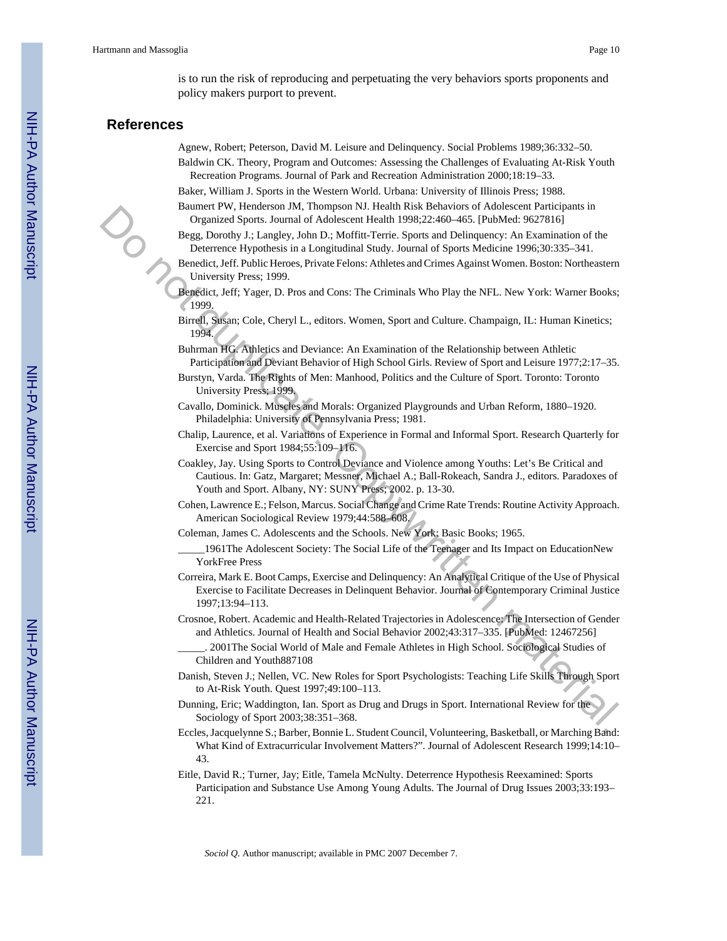is to run the risk of reproducing and perpetuating the very behaviors sports proponents and policy makers purport to prevent.

#### **References**

- Agnew, Robert; Peterson, David M. Leisure and Delinquency. Social Problems 1989;36:332–50. Baldwin CK. Theory, Program and Outcomes: Assessing the Challenges of Evaluating At-Risk Youth Recreation Programs. Journal of Park and Recreation Administration 2000;18:19–33.
- Baker, William J. Sports in the Western World. Urbana: University of Illinois Press; 1988.
- Baumert PW, Henderson JM, Thompson NJ. Health Risk Behaviors of Adolescent Participants in Organized Sports. Journal of Adolescent Health 1998;22:460–465. [PubMed: 9627816]
- Begg, Dorothy J.; Langley, John D.; Moffitt-Terrie. Sports and Delinquency: An Examination of the Deterrence Hypothesis in a Longitudinal Study. Journal of Sports Medicine 1996;30:335–341.
- Benedict, Jeff. Public Heroes, Private Felons: Athletes and Crimes Against Women. Boston: Northeastern University Press; 1999.
- Benedict, Jeff; Yager, D. Pros and Cons: The Criminals Who Play the NFL. New York: Warner Books; 1999.
- Birrell, Susan; Cole, Cheryl L., editors. Women, Sport and Culture. Champaign, IL: Human Kinetics; 1994.
- Buhrman HG. Athletics and Deviance: An Examination of the Relationship between Athletic Participation and Deviant Behavior of High School Girls. Review of Sport and Leisure 1977;2:17–35.
- Burstyn, Varda. The Rights of Men: Manhood, Politics and the Culture of Sport. Toronto: Toronto University Press; 1999.
- Cavallo, Dominick. Muscles and Morals: Organized Playgrounds and Urban Reform, 1880–1920. Philadelphia: University of Pennsylvania Press; 1981.
- Chalip, Laurence, et al. Variations of Experience in Formal and Informal Sport. Research Quarterly for Exercise and Sport 1984;55:109–116.
- Coakley, Jay. Using Sports to Control Deviance and Violence among Youths: Let's Be Critical and Cautious. In: Gatz, Margaret; Messner, Michael A.; Ball-Rokeach, Sandra J., editors. Paradoxes of Youth and Sport. Albany, NY: SUNY Press; 2002. p. 13-30.
- Cohen, Lawrence E.; Felson, Marcus. Social Change and Crime Rate Trends: Routine Activity Approach. American Sociological Review 1979;44:588–608.
- Coleman, James C. Adolescents and the Schools. New York: Basic Books; 1965.
- 1961The Adolescent Society: The Social Life of the Teenager and Its Impact on EducationNew YorkFree Press
- Correira, Mark E. Boot Camps, Exercise and Delinquency: An Analytical Critique of the Use of Physical Exercise to Facilitate Decreases in Delinquent Behavior. Journal of Contemporary Criminal Justice 1997;13:94–113. Framework of Michaelson Mathematics, The and The Berlin Research (Solid Research Theorem 2013). The material of the Solid Research (Solid Research The Dentis Space Theorem 3. The material of the Dentis Copy of the Dentis C
	- Crosnoe, Robert. Academic and Health-Related Trajectories in Adolescence: The Intersection of Gender and Athletics. Journal of Health and Social Behavior 2002;43:317–335. [PubMed: 12467256]
		- 2001The Social World of Male and Female Athletes in High School. Sociological Studies of Children and Youth887108
	- Danish, Steven J.; Nellen, VC. New Roles for Sport Psychologists: Teaching Life Skills Through Sport to At-Risk Youth. Quest 1997;49:100–113.
	- Dunning, Eric; Waddington, Ian. Sport as Drug and Drugs in Sport. International Review for the Sociology of Sport 2003;38:351–368.
	- Eccles, Jacquelynne S.; Barber, Bonnie L. Student Council, Volunteering, Basketball, or Marching Band: What Kind of Extracurricular Involvement Matters?". Journal of Adolescent Research 1999;14:10– 43.
	- Eitle, David R.; Turner, Jay; Eitle, Tamela McNulty. Deterrence Hypothesis Reexamined: Sports Participation and Substance Use Among Young Adults. The Journal of Drug Issues 2003;33:193– 221.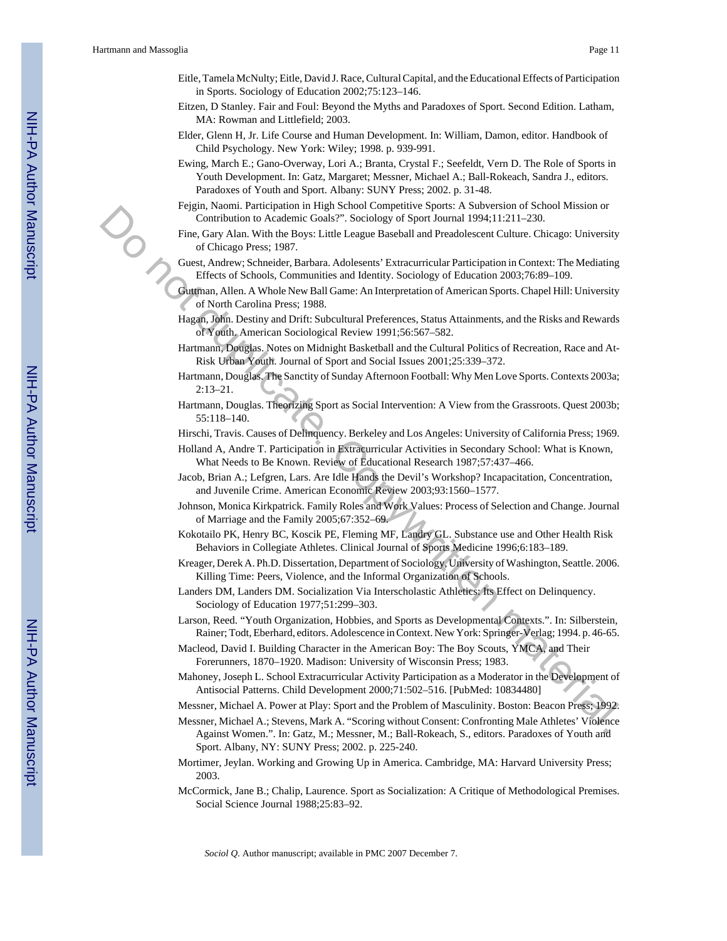- Eitle, Tamela McNulty; Eitle, David J. Race, Cultural Capital, and the Educational Effects of Participation in Sports. Sociology of Education 2002;75:123–146.
- Eitzen, D Stanley. Fair and Foul: Beyond the Myths and Paradoxes of Sport. Second Edition. Latham, MA: Rowman and Littlefield; 2003.
- Elder, Glenn H, Jr. Life Course and Human Development. In: William, Damon, editor. Handbook of Child Psychology. New York: Wiley; 1998. p. 939-991.
- Ewing, March E.; Gano-Overway, Lori A.; Branta, Crystal F.; Seefeldt, Vern D. The Role of Sports in Youth Development. In: Gatz, Margaret; Messner, Michael A.; Ball-Rokeach, Sandra J., editors. Paradoxes of Youth and Sport. Albany: SUNY Press; 2002. p. 31-48.
- Fejgin, Naomi. Participation in High School Competitive Sports: A Subversion of School Mission or Contribution to Academic Goals?". Sociology of Sport Journal 1994;11:211–230.
- Fine, Gary Alan. With the Boys: Little League Baseball and Preadolescent Culture. Chicago: University of Chicago Press; 1987.
- Guest, Andrew; Schneider, Barbara. Adolesents' Extracurricular Participation in Context: The Mediating Effects of Schools, Communities and Identity. Sociology of Education 2003;76:89–109.
- Guttman, Allen. A Whole New Ball Game: An Interpretation of American Sports. Chapel Hill: University of North Carolina Press; 1988. regnative and remarkation in Figure and<br>one complete space and solicity of Space and School and Presidence Control and Presidence Control and Theorem Columbia and Presidence Control and Presidence Control and Theorem Scho
	- Hagan, John. Destiny and Drift: Subcultural Preferences, Status Attainments, and the Risks and Rewards of Youth. American Sociological Review 1991;56:567–582.
	- Hartmann, Douglas. Notes on Midnight Basketball and the Cultural Politics of Recreation, Race and At-Risk Urban Youth. Journal of Sport and Social Issues 2001;25:339–372.
	- Hartmann, Douglas. The Sanctity of Sunday Afternoon Football: Why Men Love Sports. Contexts 2003a; 2:13–21.
	- Hartmann, Douglas. Theorizing Sport as Social Intervention: A View from the Grassroots. Quest 2003b; 55:118–140.
	- Hirschi, Travis. Causes of Delinquency. Berkeley and Los Angeles: University of California Press; 1969.
	- Holland A, Andre T. Participation in Extracurricular Activities in Secondary School: What is Known, What Needs to Be Known. Review of Educational Research 1987;57:437–466.
	- Jacob, Brian A.; Lefgren, Lars. Are Idle Hands the Devil's Workshop? Incapacitation, Concentration, and Juvenile Crime. American Economic Review 2003;93:1560–1577.
	- Johnson, Monica Kirkpatrick. Family Roles and Work Values: Process of Selection and Change. Journal of Marriage and the Family 2005;67:352–69.
	- Kokotailo PK, Henry BC, Koscik PE, Fleming MF, Landry GL. Substance use and Other Health Risk Behaviors in Collegiate Athletes. Clinical Journal of Sports Medicine 1996;6:183–189.
	- Kreager, Derek A. Ph.D. Dissertation, Department of Sociology, University of Washington, Seattle. 2006. Killing Time: Peers, Violence, and the Informal Organization of Schools.
	- Landers DM, Landers DM. Socialization Via Interscholastic Athletics: Its Effect on Delinquency. Sociology of Education 1977;51:299–303.
	- Larson, Reed. "Youth Organization, Hobbies, and Sports as Developmental Contexts.". In: Silberstein, Rainer; Todt, Eberhard, editors. Adolescence in Context. New York: Springer-Verlag; 1994. p. 46-65.
	- Macleod, David I. Building Character in the American Boy: The Boy Scouts, YMCA, and Their Forerunners, 1870–1920. Madison: University of Wisconsin Press; 1983.
	- Mahoney, Joseph L. School Extracurricular Activity Participation as a Moderator in the Development of Antisocial Patterns. Child Development 2000;71:502–516. [PubMed: 10834480]
	- Messner, Michael A. Power at Play: Sport and the Problem of Masculinity. Boston: Beacon Press; 1992.
	- Messner, Michael A.; Stevens, Mark A. "Scoring without Consent: Confronting Male Athletes' Violence Against Women.". In: Gatz, M.; Messner, M.; Ball-Rokeach, S., editors. Paradoxes of Youth and Sport. Albany, NY: SUNY Press; 2002. p. 225-240.
	- Mortimer, Jeylan. Working and Growing Up in America. Cambridge, MA: Harvard University Press; 2003.
	- McCormick, Jane B.; Chalip, Laurence. Sport as Socialization: A Critique of Methodological Premises. Social Science Journal 1988;25:83–92.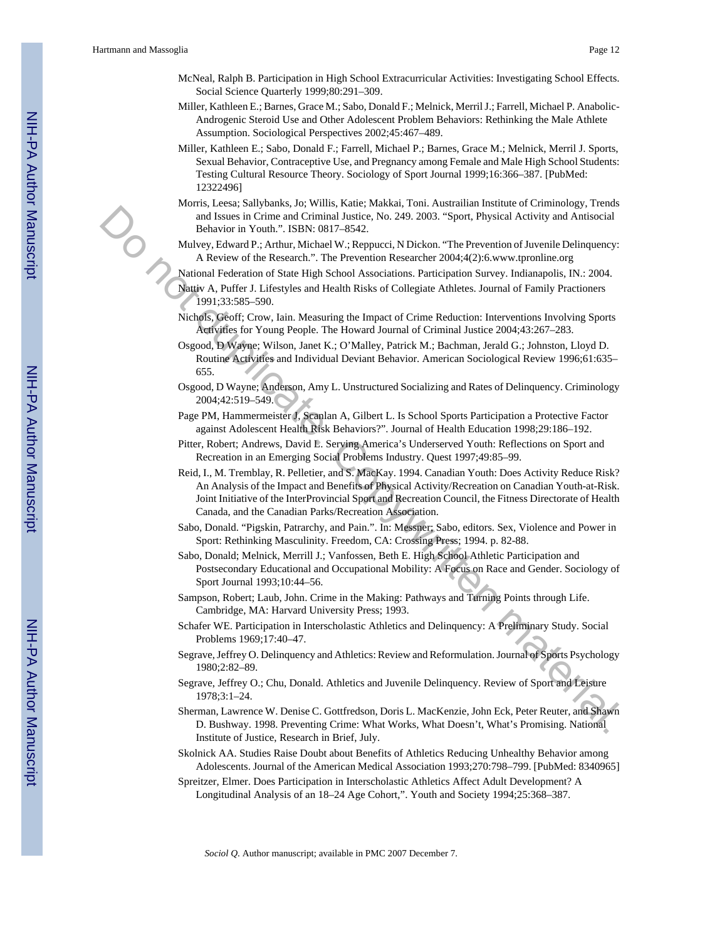- McNeal, Ralph B. Participation in High School Extracurricular Activities: Investigating School Effects. Social Science Quarterly 1999;80:291–309.
- Miller, Kathleen E.; Barnes, Grace M.; Sabo, Donald F.; Melnick, Merril J.; Farrell, Michael P. Anabolic-Androgenic Steroid Use and Other Adolescent Problem Behaviors: Rethinking the Male Athlete Assumption. Sociological Perspectives 2002;45:467–489.
- Miller, Kathleen E.; Sabo, Donald F.; Farrell, Michael P.; Barnes, Grace M.; Melnick, Merril J. Sports, Sexual Behavior, Contraceptive Use, and Pregnancy among Female and Male High School Students: Testing Cultural Resource Theory. Sociology of Sport Journal 1999;16:366–387. [PubMed: 12322496]
- Morris, Leesa; Sallybanks, Jo; Willis, Katie; Makkai, Toni. Austrailian Institute of Criminology, Trends and Issues in Crime and Criminal Justice, No. 249. 2003. "Sport, Physical Activity and Antisocial Behavior in Youth.". ISBN: 0817–8542.
- Mulvey, Edward P.; Arthur, Michael W.; Reppucci, N Dickon. "The Prevention of Juvenile Delinquency: A Review of the Research.". The Prevention Researcher 2004;4(2):6.www.tpronline.org
- National Federation of State High School Associations. Participation Survey. Indianapolis, IN.: 2004.
- Nattiv A, Puffer J. Lifestyles and Health Risks of Collegiate Athletes. Journal of Family Practioners 1991;33:585–590.
- Nichols, Geoff; Crow, Iain. Measuring the Impact of Crime Reduction: Interventions Involving Sports Activities for Young People. The Howard Journal of Criminal Justice 2004;43:267–283.
- Osgood, D Wayne; Wilson, Janet K.; O'Malley, Patrick M.; Bachman, Jerald G.; Johnston, Lloyd D. Routine Activities and Individual Deviant Behavior. American Sociological Review 1996;61:635– 655.
- Osgood, D Wayne; Anderson, Amy L. Unstructured Socializing and Rates of Delinquency. Criminology 2004;42:519–549.
- Page PM, Hammermeister J, Scanlan A, Gilbert L. Is School Sports Participation a Protective Factor against Adolescent Health Risk Behaviors?". Journal of Health Education 1998;29:186–192.
- Pitter, Robert; Andrews, David L. Serving America's Underserved Youth: Reflections on Sport and Recreation in an Emerging Social Problems Industry. Quest 1997;49:85–99.
- Reid, I., M. Tremblay, R. Pelletier, and S. MacKay. 1994. Canadian Youth: Does Activity Reduce Risk? An Analysis of the Impact and Benefits of Physical Activity/Recreation on Canadian Youth-at-Risk. Joint Initiative of the InterProvincial Sport and Recreation Council, the Fitness Directorate of Health Canada, and the Canadian Parks/Recreation Association. Band Vontin, Ballettiminal herican Research (Painten Mechanical Mechanical Mechanical Mechanical Mechanical Mechanical Mechanical Mechanical Mechanical Mechanical Mechanical Mechanical Mechanical Mechanical Mechanical Mec
	- Sabo, Donald. "Pigskin, Patrarchy, and Pain.". In: Messner; Sabo, editors. Sex, Violence and Power in Sport: Rethinking Masculinity. Freedom, CA: Crossing Press; 1994. p. 82-88.
	- Sabo, Donald; Melnick, Merrill J.; Vanfossen, Beth E. High School Athletic Participation and Postsecondary Educational and Occupational Mobility: A Focus on Race and Gender. Sociology of Sport Journal 1993;10:44–56.
	- Sampson, Robert; Laub, John. Crime in the Making: Pathways and Turning Points through Life. Cambridge, MA: Harvard University Press; 1993.
	- Schafer WE. Participation in Interscholastic Athletics and Delinquency: A Preliminary Study. Social Problems 1969;17:40–47.
	- Segrave, Jeffrey O. Delinquency and Athletics: Review and Reformulation. Journal of Sports Psychology 1980;2:82–89.
	- Segrave, Jeffrey O.; Chu, Donald. Athletics and Juvenile Delinquency. Review of Sport and Leisure 1978;3:1–24.
	- Sherman, Lawrence W. Denise C. Gottfredson, Doris L. MacKenzie, John Eck, Peter Reuter, and Shawn D. Bushway. 1998. Preventing Crime: What Works, What Doesn't, What's Promising. National Institute of Justice, Research in Brief, July.
	- Skolnick AA. Studies Raise Doubt about Benefits of Athletics Reducing Unhealthy Behavior among Adolescents. Journal of the American Medical Association 1993;270:798–799. [PubMed: 8340965]
	- Spreitzer, Elmer. Does Participation in Interscholastic Athletics Affect Adult Development? A Longitudinal Analysis of an 18–24 Age Cohort,". Youth and Society 1994;25:368–387.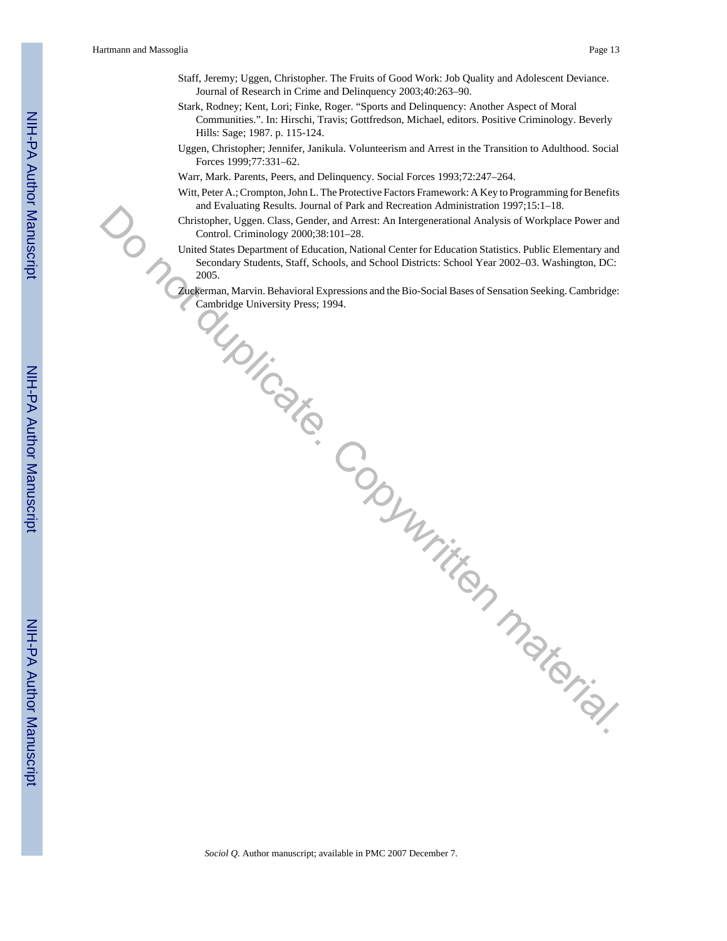- Staff, Jeremy; Uggen, Christopher. The Fruits of Good Work: Job Quality and Adolescent Deviance. Journal of Research in Crime and Delinquency 2003;40:263–90.
- Stark, Rodney; Kent, Lori; Finke, Roger. "Sports and Delinquency: Another Aspect of Moral Communities.". In: Hirschi, Travis; Gottfredson, Michael, editors. Positive Criminology. Beverly Hills: Sage; 1987. p. 115-124.
- Uggen, Christopher; Jennifer, Janikula. Volunteerism and Arrest in the Transition to Adulthood. Social Forces 1999;77:331–62.
- Warr, Mark. Parents, Peers, and Delinquency. Social Forces 1993;72:247–264.
- Witt, Peter A.; Crompton, John L. The Protective Factors Framework: A Key to Programming for Benefits and Evaluating Results. Journal of Park and Recreation Administration 1997;15:1–18.
- Christopher, Uggen. Class, Gender, and Arrest: An Intergenerational Analysis of Workplace Power and Control. Criminology 2000;38:101–28.
- United States Department of Education, National Center for Education Statistics. Public Elementary and Secondary Students, Staff, Schools, and School Districts: School Year 2002–03. Washington, DC: 2005. Contempter. Uggen. Class, Gender, and Arrest An Intergretational Analysis of Workington, Poster and<br>Contemptor. Uggen. Class, Gender, and Arrest An Intergretational Analysis of Workington, DC:<br>Contents, Southern Studientic
	- Zuckerman, Marvin. Behavioral Expressions and the Bio-Social Bases of Sensation Seeking. Cambridge: Cambridge University Press; 1994.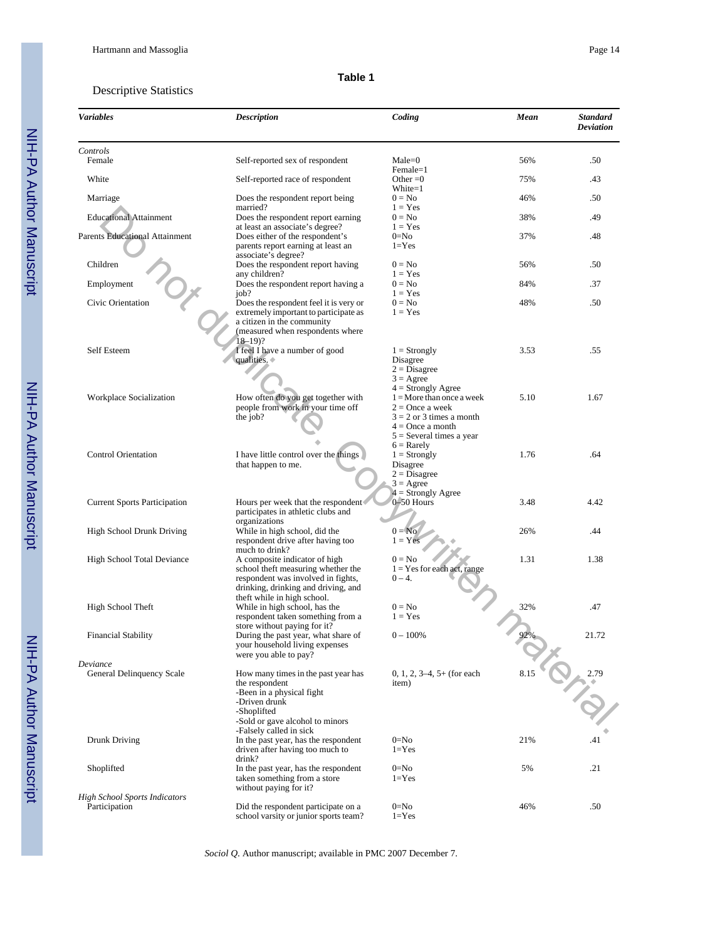#### **Table 1**

#### Descriptive Statistics

| <b>Variables</b>                                      | <b>Description</b>                                                                                                                                                                                | Coding                                                                                                                                                     | Mean | <b>Standard</b><br>Deviation |
|-------------------------------------------------------|---------------------------------------------------------------------------------------------------------------------------------------------------------------------------------------------------|------------------------------------------------------------------------------------------------------------------------------------------------------------|------|------------------------------|
| Controls<br>Female                                    | Self-reported sex of respondent                                                                                                                                                                   | $Male = 0$                                                                                                                                                 | 56%  | .50                          |
| White                                                 | Self-reported race of respondent                                                                                                                                                                  | Female=1<br>Other $=0$                                                                                                                                     | 75%  | .43                          |
| Marriage                                              | Does the respondent report being                                                                                                                                                                  | White=1<br>$0 = No$                                                                                                                                        | 46%  | .50                          |
| <b>Educational Attainment</b>                         | married?<br>Does the respondent report earning                                                                                                                                                    | $1 = Yes$<br>$0 = No$                                                                                                                                      | 38%  | .49                          |
| <b>Parents Educational Attainment</b>                 | at least an associate's degree?<br>Does either of the respondent's<br>parents report earning at least an                                                                                          | $1 = Yes$<br>$0 = No$<br>$1 = Yes$                                                                                                                         | 37%  | .48                          |
| Children                                              | associate's degree?<br>Does the respondent report having<br>any children?                                                                                                                         | $0 = No$<br>$1 = Yes$                                                                                                                                      | 56%  | .50                          |
| Employment                                            | Does the respondent report having a<br>job?                                                                                                                                                       | $0 = No$<br>$1 = Yes$                                                                                                                                      | 84%  | .37                          |
| Civic Orientation                                     | Does the respondent feel it is very or<br>extremely important to participate as<br>a citizen in the community<br>(measured when respondents where<br>18–19)?                                      | $0 = No$<br>$1 = Yes$                                                                                                                                      | 48%  | .50                          |
| Self Esteem                                           | I feel I have a number of good<br>qualities.                                                                                                                                                      | $1 =$ Strongly<br>Disagree<br>$2 = Disagree$<br>$3 = \text{Agree}$                                                                                         | 3.53 | .55                          |
| Workplace Socialization                               | How often do you get together with<br>people from work in your time off<br>the job?                                                                                                               | $4 =$ Strongly Agree<br>$1 =$ More than once a week<br>$2 =$ Once a week<br>$3 = 2$ or 3 times a month<br>$4 =$ Once a month<br>$5 =$ Several times a year | 5.10 | 1.67                         |
| <b>Control Orientation</b>                            | I have little control over the things<br>that happen to me.                                                                                                                                       | $6 =$ Rarely<br>$1 =$ Strongly<br>Disagree<br>$2 = Disagree$<br>$3 = \text{Agree}$                                                                         | 1.76 | .64                          |
| <b>Current Sports Participation</b>                   | Hours per week that the respondent<br>participates in athletic clubs and                                                                                                                          | $4 =$ Strongly Agree<br>$0-50$ Hours                                                                                                                       | 3.48 | 4.42                         |
| <b>High School Drunk Driving</b>                      | organizations<br>While in high school, did the<br>respondent drive after having too                                                                                                               | $0 = No$<br>$1 = Yes$                                                                                                                                      | 26%  | .44                          |
| High School Total Deviance                            | much to drink?<br>A composite indicator of high<br>school theft measuring whether the<br>respondent was involved in fights,<br>drinking, drinking and driving, and<br>theft while in high school. | $0 = No$<br>$1 = Yes$ for each act, range<br>$0 - 4.$                                                                                                      | 1.31 | 1.38                         |
| High School Theft                                     | While in high school, has the<br>respondent taken something from a<br>store without paying for it?                                                                                                | $0 = No$<br>$1 = Yes$                                                                                                                                      | 32%  | .47                          |
| <b>Financial Stability</b>                            | During the past year, what share of<br>your household living expenses<br>were you able to pay?                                                                                                    | $0 - 100\%$                                                                                                                                                | 92%  | 21.72                        |
| Deviance<br>General Delinquency Scale                 | How many times in the past year has<br>the respondent<br>-Been in a physical fight<br>-Driven drunk<br>-Shoplifted<br>-Sold or gave alcohol to minors                                             | $0, 1, 2, 3-4, 5+$ (for each<br>item)                                                                                                                      | 8.15 | 2.79<br>ぶ                    |
| Drunk Driving                                         | -Falsely called in sick<br>In the past year, has the respondent<br>driven after having too much to<br>drink?                                                                                      | $0 = No$<br>$1 = Yes$                                                                                                                                      | 21%  | .41                          |
| Shoplifted                                            | In the past year, has the respondent<br>taken something from a store<br>without paying for it?                                                                                                    | $0 = No$<br>$1 = Yes$                                                                                                                                      | 5%   | .21                          |
| <b>High School Sports Indicators</b><br>Participation | Did the respondent participate on a<br>school varsity or junior sports team?                                                                                                                      | $0 = No$<br>$1 = Yes$                                                                                                                                      | 46%  | .50                          |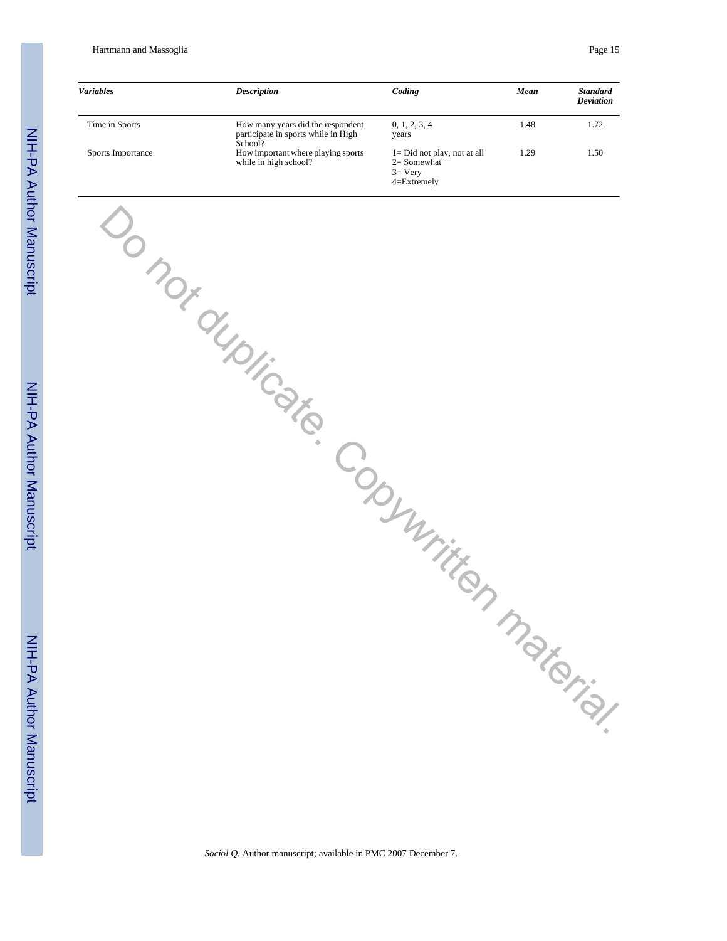Hartmann and Massoglia Page 15

| <b>Variables</b>  | <b>Description</b>                                                                  | Coding                                                                          | Mean | <b>Standard</b><br><b>Deviation</b> |
|-------------------|-------------------------------------------------------------------------------------|---------------------------------------------------------------------------------|------|-------------------------------------|
| Time in Sports    | How many years did the respondent<br>participate in sports while in High<br>School? | 0, 1, 2, 3, 4<br>years                                                          | 1.48 | 1.72                                |
| Sports Importance | How important where playing sports<br>while in high school?                         | $l = Did not play, not at all$<br>$2=$ Somewhat<br>$3=$ Very<br>$4 =$ Extremely | 1.29 | 1.50                                |

Do not duplicate. Copywritten material.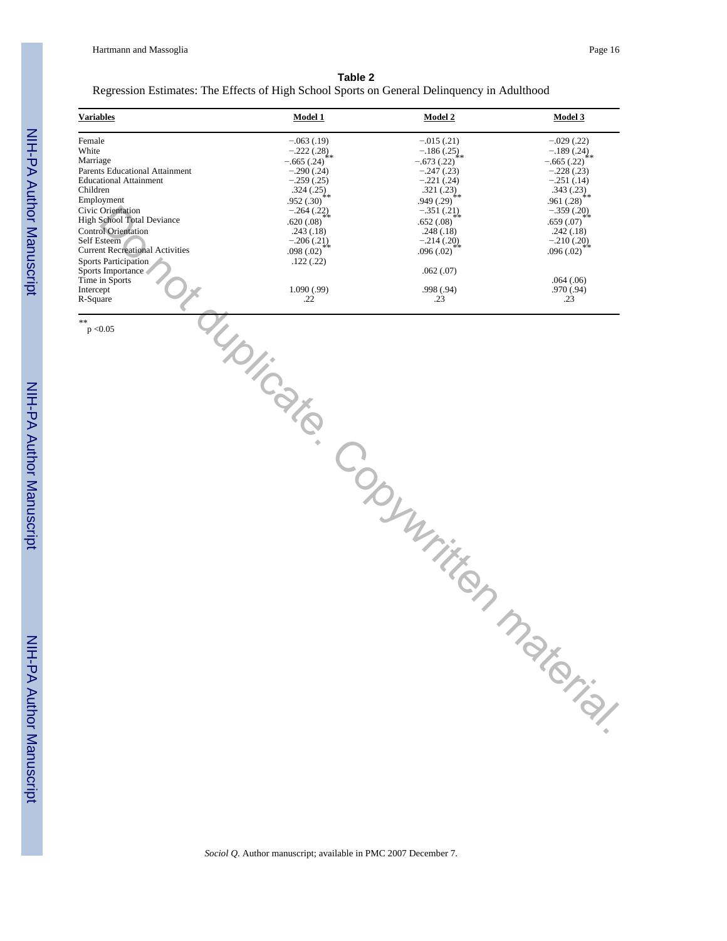# NIH-PA Author Manuscript NIH-PA Author Manuscript

NIH-PA Author Manuscript NIH-PA Author Manuscript

| Table 2                                                                                     |  |
|---------------------------------------------------------------------------------------------|--|
| Regression Estimates: The Effects of High School Sports on General Delinquency in Adulthood |  |

| <b>Variables</b>                                                                                                                                                                                                                                                                                                                                                         | Model 1                                                                                                                                                                                                                | Model 2                                                                                                                                                                                                                 | <b>Model 3</b>                                                                                                                                                                                                         |
|--------------------------------------------------------------------------------------------------------------------------------------------------------------------------------------------------------------------------------------------------------------------------------------------------------------------------------------------------------------------------|------------------------------------------------------------------------------------------------------------------------------------------------------------------------------------------------------------------------|-------------------------------------------------------------------------------------------------------------------------------------------------------------------------------------------------------------------------|------------------------------------------------------------------------------------------------------------------------------------------------------------------------------------------------------------------------|
| Female<br>White<br>Marriage<br>Parents Educational Attainment<br><b>Educational Attainment</b><br>Children<br>Employment<br>Civic Orientation<br><b>High School Total Deviance</b><br><b>Control Orientation</b><br>Self Esteem<br><b>Current Recreational Activities</b><br><b>Sports Participation</b><br>Sports Importance<br>Time in Sports<br>Intercept<br>R-Square | $-.063(.19)$<br>$-.222(.28)$<br>$-.665(.24)$<br>$-.290(.24)$<br>$-.259(.25)$<br>$.324(.25)_{**}$<br>.952(.30)<br>$-.264(.22)$<br>.620(.08)<br>.243(.18)<br>$-.206(.21)$<br>.098(.02)<br>.122(.22)<br>1.090(.99)<br>.22 | $-.015(.21)$<br>$-.186(.25)$<br>$-.673(.22)$<br>$-.247(.23)$<br>$-.221(.24)$<br>.321 $(.23)_{**}$<br>.949(.29)<br>$-.351(.21)$<br>.652(.08)<br>.248(.18)<br>$-.214(.20)$<br>.096(.02)<br>.062(.07)<br>.998 (.94)<br>.23 | $-.029(.22)$<br>$-.189(.24)$<br>$-.665(.22)$<br>$-.228(.23)$<br>$-.251(.14)$<br>$.343(.23)_{**}$<br>.961(.28)<br>$-.359(.20)$<br>.659(.07)<br>.242(.18)<br>$-.210(.20)$<br>.096(.02)<br>.064(.06)<br>.970 (.94)<br>.23 |
| **<br>p < 0.05                                                                                                                                                                                                                                                                                                                                                           |                                                                                                                                                                                                                        | duplicate. Copyrighten material.                                                                                                                                                                                        |                                                                                                                                                                                                                        |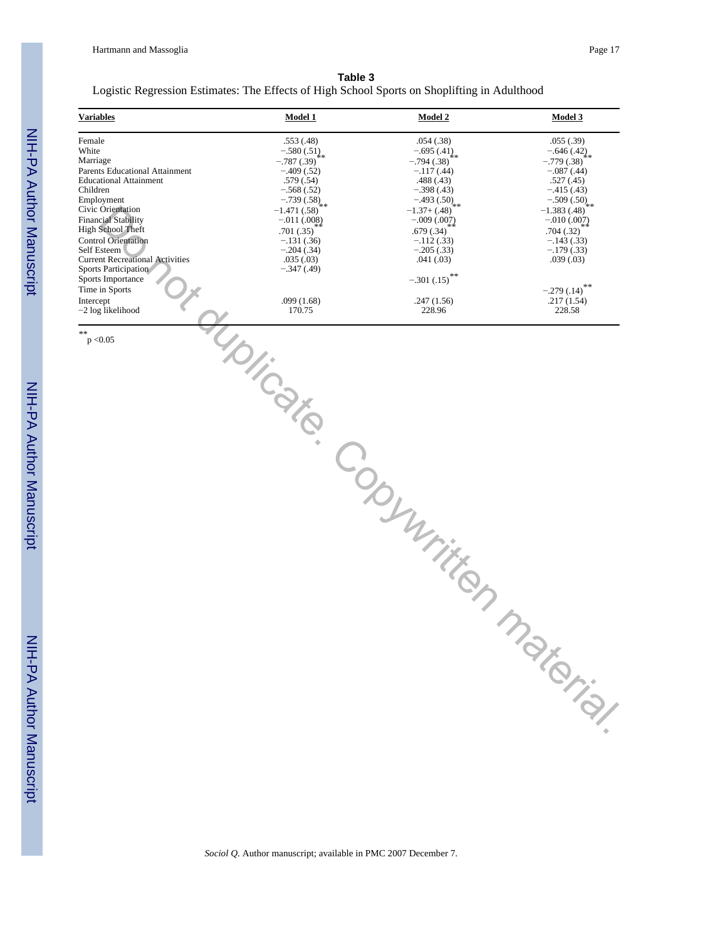| Table 3                                                                                      |
|----------------------------------------------------------------------------------------------|
| Logistic Regression Estimates: The Effects of High School Sports on Shoplifting in Adulthood |
|                                                                                              |

| <b>Variables</b>                                                                                                                                                                                                                                                                                                                                             | <b>Model 1</b>                                                                                                                                                                                                                                | <b>Model 2</b>                                                                                                                                                                                                                     | Model 3                                                                                                                                                                                                                              |
|--------------------------------------------------------------------------------------------------------------------------------------------------------------------------------------------------------------------------------------------------------------------------------------------------------------------------------------------------------------|-----------------------------------------------------------------------------------------------------------------------------------------------------------------------------------------------------------------------------------------------|------------------------------------------------------------------------------------------------------------------------------------------------------------------------------------------------------------------------------------|--------------------------------------------------------------------------------------------------------------------------------------------------------------------------------------------------------------------------------------|
| Female<br>White<br>Marriage<br>Parents Educational Attainment<br><b>Educational Attainment</b><br>Children<br>Employment<br>Civic Orientation<br><b>Financial Stability</b><br>High School Theft<br>Control Orientation<br>Self Esteem<br><b>Current Recreational Activities</b><br>Sports Participation<br>Sports Importance<br>Time in Sports<br>Intercept | .553 (.48)<br>$-.580(.51)_{**}$<br>$-.787(.39)$<br>$-0.409(0.52)$<br>.579(.54)<br>$-.568(.52)$<br>$-.739(.58)_{**}$<br>$-1.471(.58)$<br>$-.011(.008)$<br>.701(.35)<br>$-.131(.36)$<br>$-.204(.34)$<br>.035(.03)<br>$-.347(.49)$<br>.099(1.68) | .054(.38)<br>$-695(41)$<br>$-.794(.38)$<br>$-.117(.44)$<br>.488(.43)<br>$-.398(.43)$<br>$-493(.50)_{**}$<br>$-1.37+(.48)$<br>$-.009(.007)$<br>.679(.34)<br>$-.112(.33)$<br>$-.205(.33)$<br>.041(.03)<br>$-.301(.15)$<br>.247(1.56) | .055(.39)<br>$-.646(.42)$<br>$-.779(.38)$<br>$-.087(.44)$<br>.527(.45)<br>$-.415(.43)$<br>$-.509(.50)_{**}$<br>$-1.383(.48)$<br>$-.010(.007)$<br>.704(.32)<br>$-.143(.33)$<br>$-179(.33)$<br>.039(.03)<br>$-.279(.14)$<br>.217(1.54) |
| $-2$ log likelihood                                                                                                                                                                                                                                                                                                                                          | 170.75                                                                                                                                                                                                                                        | 228.96                                                                                                                                                                                                                             | 228.58                                                                                                                                                                                                                               |
| **<br>p < 0.05                                                                                                                                                                                                                                                                                                                                               | IDI-Cate                                                                                                                                                                                                                                      | Copyright material                                                                                                                                                                                                                 |                                                                                                                                                                                                                                      |